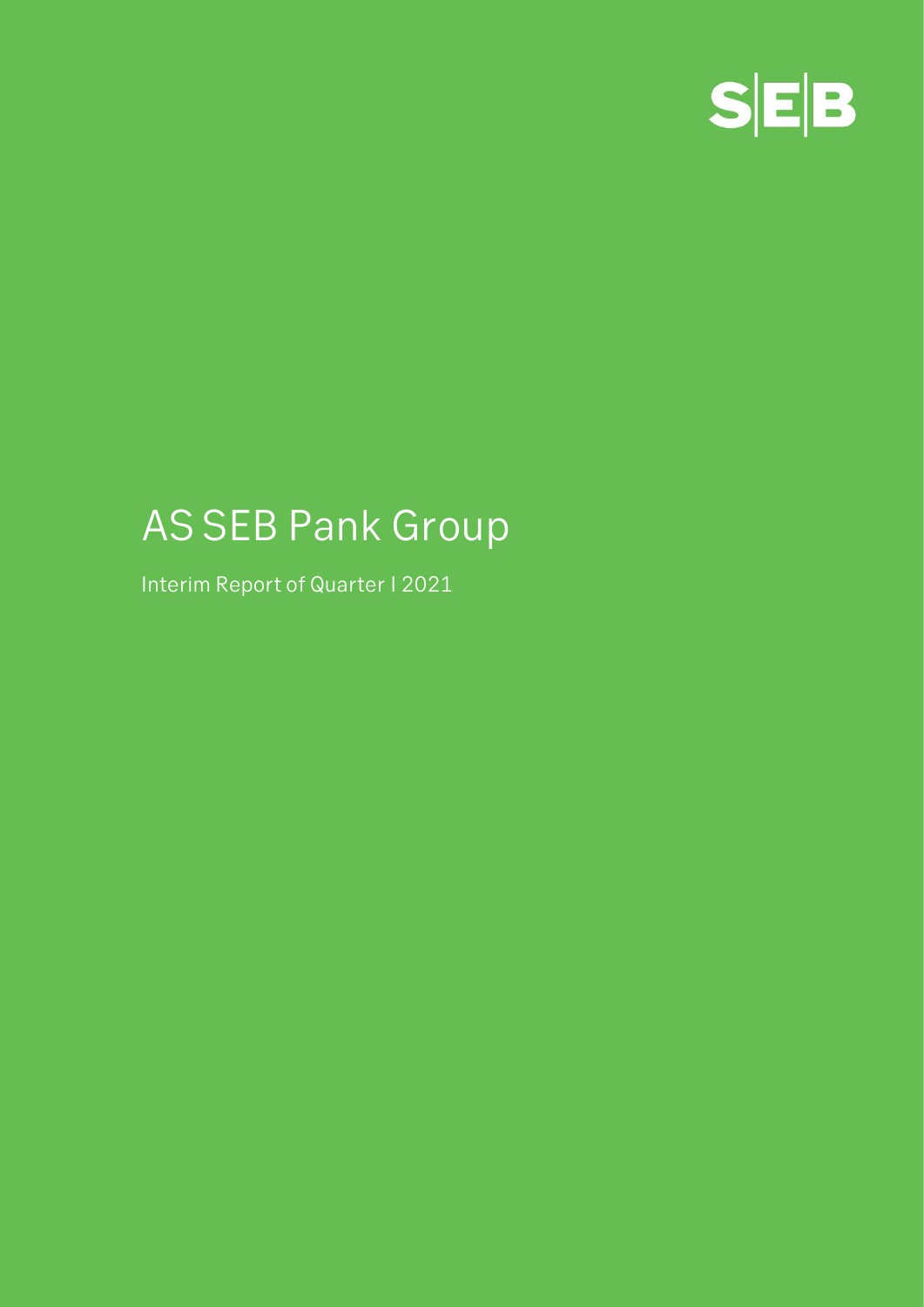

# **AS SEB Pank Group**

**Interim Report of Quarter I 2021**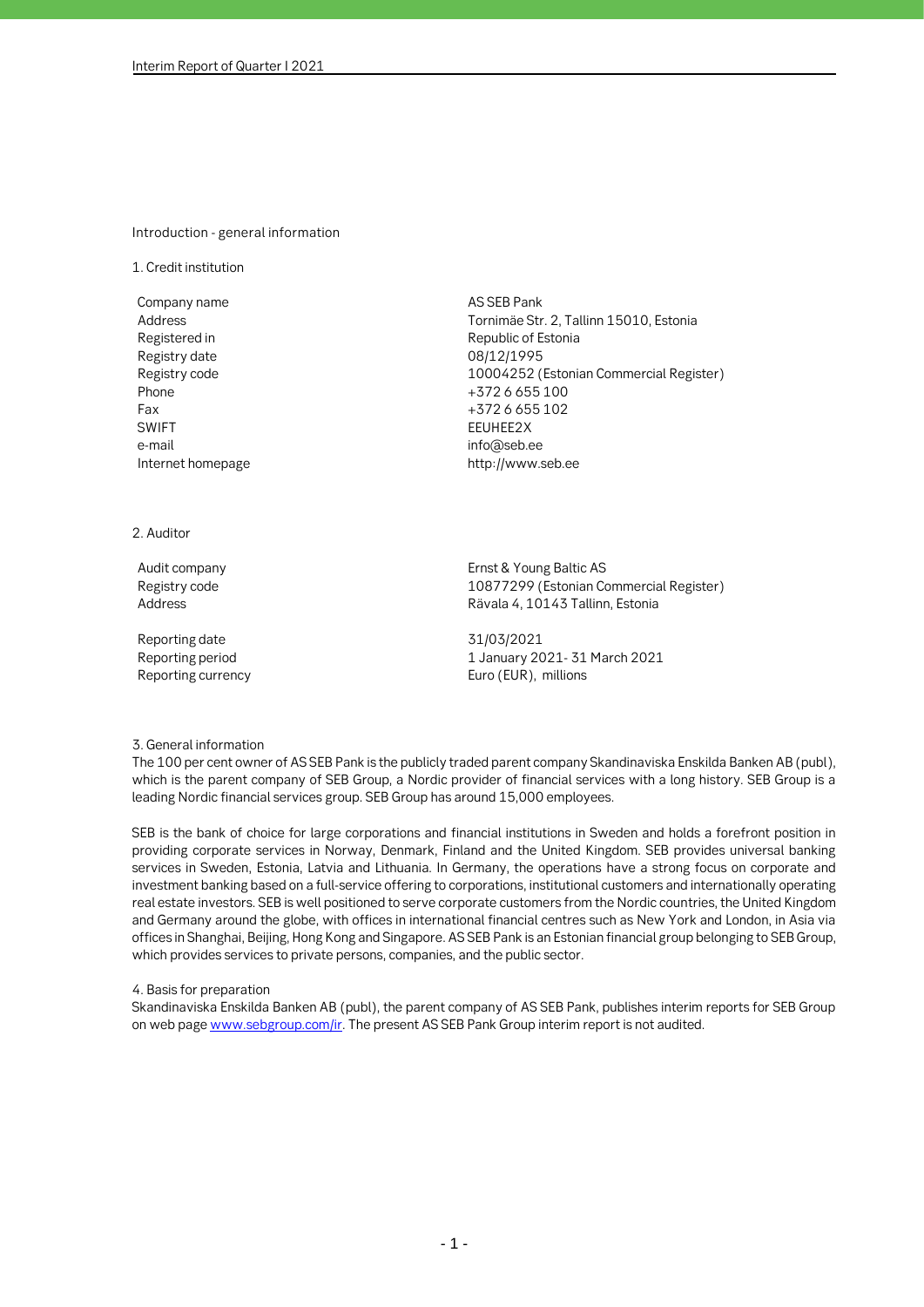#### **Introduction - general information**

**1. Credit institution**

**Company name AS SEB Pank Registered in Republic of Estonia Registry date 08/12/1995 Phone +372 6 655 100 Fax +372 6 655 102 SWIFT EEUHEE2X e-mail info@seb.ee Internet homepage http://www.seb.ee** 

**Address Tornimäe Str. 2, Tallinn 15010, Estonia Registry code 10004252 (Estonian Commercial Register)**

# **2. Auditor**

**Reporting date 31/03/2021**

**Audit company Ernst & Young Baltic AS Registry code 10877299 (Estonian Commercial Register) Address Rävala 4, 10143 Tallinn, Estonia**

**Reporting period 1 January 2021- 31 March 2021 Reporting currency Euro (EUR), millions**

#### **3. General information**

**The 100 per cent owner of AS SEB Pank is the publicly traded parent company Skandinaviska Enskilda Banken AB (publ), which is the parent company of SEB Group, a Nordic provider of financial services with a long history. SEB Group is a leading Nordic financial services group. SEB Group has around 15,000 employees.** 

**SEB is the bank of choice for large corporations and financial institutions in Sweden and holds a forefront position in providing corporate services in Norway, Denmark, Finland and the United Kingdom. SEB provides universal banking services in Sweden, Estonia, Latvia and Lithuania. In Germany, the operations have a strong focus on corporate and investment banking based on a full-service offering to corporations, institutional customers and internationally operating real estate investors. SEB is well positioned to serve corporate customers from the Nordic countries, the United Kingdom and Germany around the globe, with offices in international financial centres such as New York and London, in Asia via offices in Shanghai, Beijing, Hong Kong and Singapore. AS SEB Pank is an Estonian financial group belonging to SEB Group, which provides services to private persons, companies, and the public sector.**

#### **4. Basis for preparation**

**Skandinaviska Enskilda Banken AB (publ), the parent company of AS SEB Pank, publishes interim reports for SEB Group on web page www.sebgroup.com/ir. The present AS SEB Pank Group interim report is not audited.**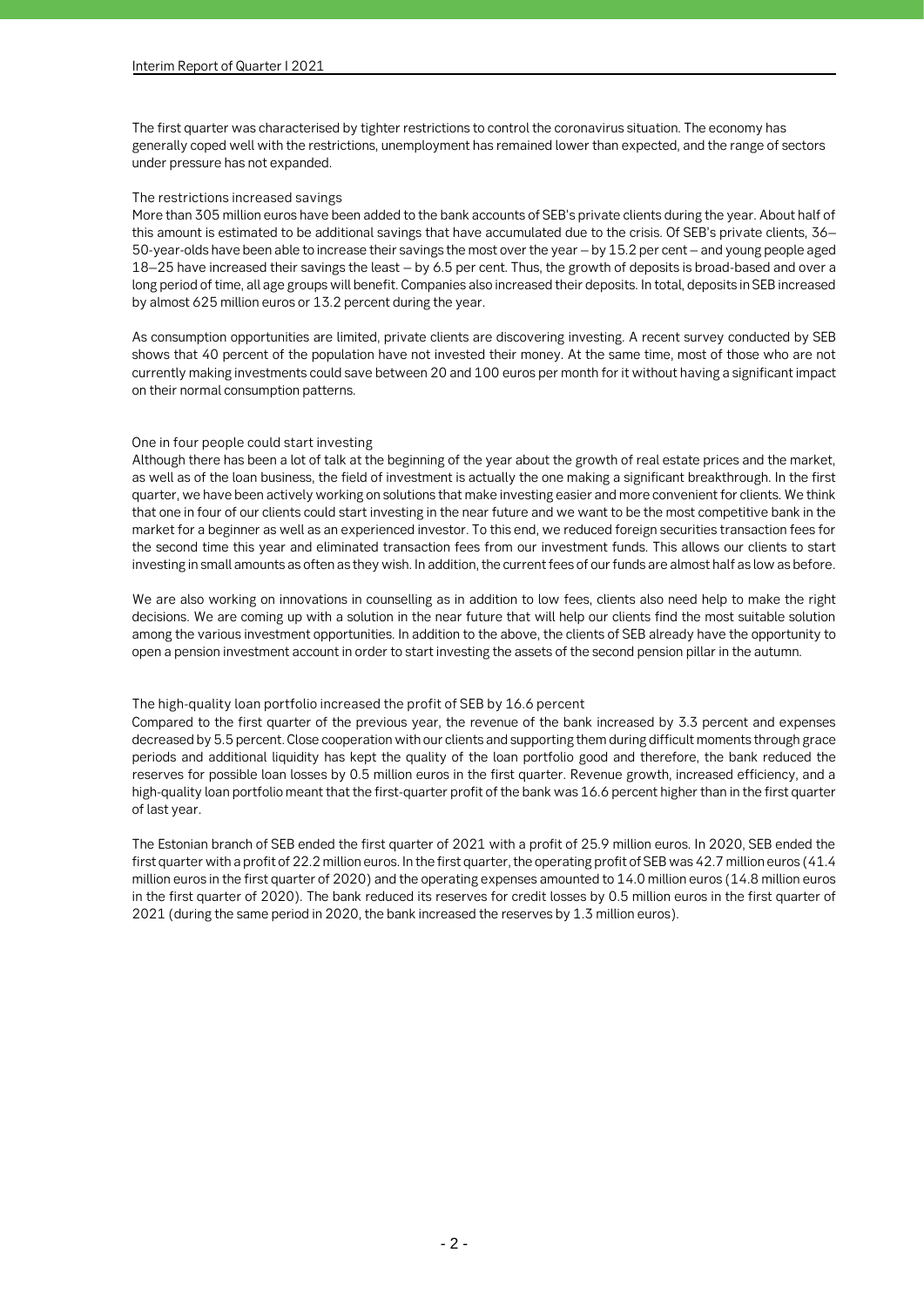**The first quarter was characterised by tighter restrictions to control the coronavirus situation. The economy has generally coped well with the restrictions, unemployment has remained lower than expected, and the range of sectors under pressure has not expanded.**

#### **The restrictions increased savings**

**More than 305 million euros have been added to the bank accounts of SEB's private clients during the year. About half of this amount is estimated to be additional savings that have accumulated due to the crisis. Of SEB's private clients, 36– 50-year-olds have been able to increase their savings the most over the year – by 15.2 per cent – and young people aged 18–25 have increased their savings the least – by 6.5 per cent. Thus, the growth of deposits is broad-based and over a long period of time, all age groups will benefit. Companies also increased their deposits. In total, deposits in SEB increased by almost 625 million euros or 13.2 percent during the year.**

**As consumption opportunities are limited, private clients are discovering investing. A recent survey conducted by SEB shows that 40 percent of the population have not invested their money. At the same time, most of those who are not currently making investments could save between 20 and 100 euros per month for it without having a significant impact on their normal consumption patterns.**

#### **One in four people could start investing**

**Although there has been a lot of talk at the beginning of the year about the growth of real estate prices and the market, as well as of the loan business, the field of investment is actually the one making a significant breakthrough. In the first quarter, we have been actively working on solutions that make investing easier and more convenient for clients. We think that one in four of our clients could start investing in the near future and we want to be the most competitive bank in the market for a beginner as well as an experienced investor. To this end, we reduced foreign securities transaction fees for the second time this year and eliminated transaction fees from our investment funds. This allows our clients to start investing in small amounts as often as they wish. In addition, the current fees of our funds are almost half as low as before.**

**We are also working on innovations in counselling as in addition to low fees, clients also need help to make the right decisions. We are coming up with a solution in the near future that will help our clients find the most suitable solution among the various investment opportunities. In addition to the above, the clients of SEB already have the opportunity to open a pension investment account in order to start investing the assets of the second pension pillar in the autumn.**

# **The high-quality loan portfolio increased the profit of SEB by 16.6 percent**

**Compared to the first quarter of the previous year, the revenue of the bank increased by 3.3 percent and expenses decreased by 5.5 percent. Close cooperation with our clients and supporting them during difficult moments through grace periods and additional liquidity has kept the quality of the loan portfolio good and therefore, the bank reduced the reserves for possible loan losses by 0.5 million euros in the first quarter. Revenue growth, increased efficiency, and a high-quality loan portfolio meant that the first-quarter profit of the bank was 16.6 percent higher than in the first quarter of last year.**

**The Estonian branch of SEB ended the first quarter of 2021 with a profit of 25.9 million euros. In 2020, SEB ended the first quarter with a profit of 22.2 million euros. In the first quarter, the operating profit of SEB was 42.7 million euros (41.4 million euros in the first quarter of 2020) and the operating expenses amounted to 14.0 million euros (14.8 million euros in the first quarter of 2020). The bank reduced its reserves for credit losses by 0.5 million euros in the first quarter of 2021 (during the same period in 2020, the bank increased the reserves by 1.3 million euros).**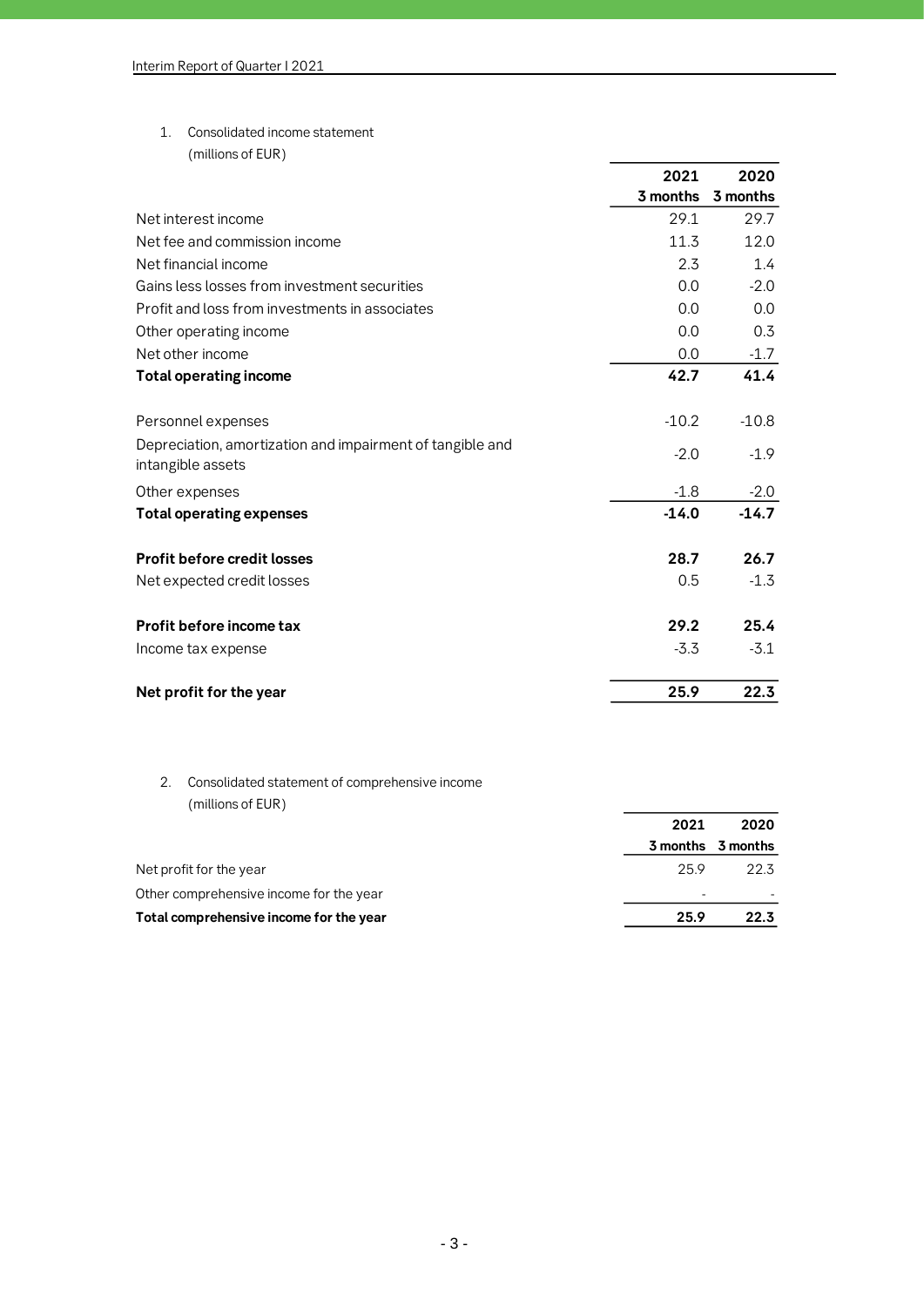**1. Consolidated income statement**

**(millions of EUR)**

|                                                                                | 2021     | 2020     |
|--------------------------------------------------------------------------------|----------|----------|
|                                                                                | 3 months | 3 months |
| Net interest income                                                            | 29.1     | 29.7     |
| Net fee and commission income                                                  | 11.3     | 12.0     |
| Net financial income                                                           | 2.3      | 1.4      |
| Gains less losses from investment securities                                   | 0.0      | $-2.0$   |
| Profit and loss from investments in associates                                 | 0.0      | 0.0      |
| Other operating income                                                         | 0.0      | 0.3      |
| Net other income                                                               | 0.0      | $-1.7$   |
| <b>Total operating income</b>                                                  | 42.7     | 41.4     |
| Personnel expenses                                                             | $-10.2$  | $-10.8$  |
| Depreciation, amortization and impairment of tangible and<br>intangible assets | $-2.0$   | $-1.9$   |
| Other expenses                                                                 | $-1.8$   | $-2.0$   |
| <b>Total operating expenses</b>                                                | $-14.0$  | $-14.7$  |
| <b>Profit before credit losses</b>                                             | 28.7     | 26.7     |
| Net expected credit losses                                                     | 0.5      | $-1.3$   |
| Profit before income tax                                                       | 29.2     | 25.4     |
| Income tax expense                                                             | $-3.3$   | $-3.1$   |
| Net profit for the year                                                        | 25.9     | 22.3     |

# **2. Consolidated statement of comprehensive income (millions of EUR)**

|                                         | 2021 | 2020              |
|-----------------------------------------|------|-------------------|
|                                         |      | 3 months 3 months |
| Net profit for the year                 | 25.9 | 22.3              |
| Other comprehensive income for the year |      |                   |
| Total comprehensive income for the year | 25.9 | 22.3              |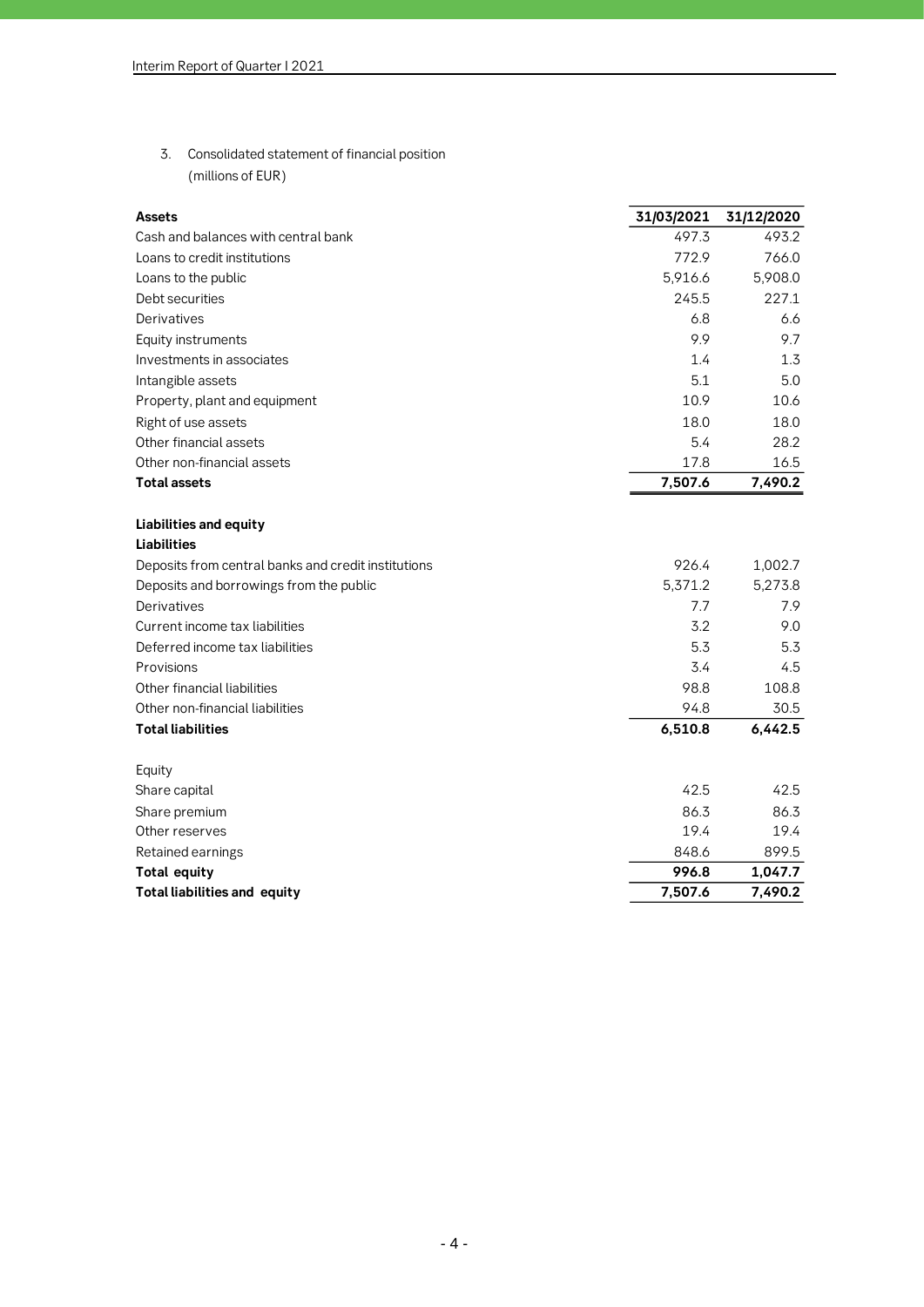**3. Consolidated statement of financial position (millions of EUR)**

| <b>Assets</b>                                       | 31/03/2021 | 31/12/2020 |
|-----------------------------------------------------|------------|------------|
| Cash and balances with central bank                 | 497.3      | 493.2      |
| Loans to credit institutions                        | 772.9      | 766.0      |
| Loans to the public                                 | 5,916.6    | 5,908.0    |
| Debt securities                                     | 245.5      | 227.1      |
| Derivatives                                         | 6.8        | 6.6        |
| Equity instruments                                  | 9.9        | 9.7        |
| Investments in associates                           | 1.4        | 1.3        |
| Intangible assets                                   | 5.1        | 5.0        |
| Property, plant and equipment                       | 10.9       | 10.6       |
| Right of use assets                                 | 18.0       | 18.0       |
| Other financial assets                              | 5.4        | 28.2       |
| Other non-financial assets                          | 17.8       | 16.5       |
| <b>Total assets</b>                                 | 7,507.6    | 7,490.2    |
|                                                     |            |            |
| Liabilities and equity                              |            |            |
| <b>Liabilities</b>                                  |            |            |
| Deposits from central banks and credit institutions | 926.4      | 1,002.7    |
| Deposits and borrowings from the public             | 5,371.2    | 5,273.8    |
| Derivatives                                         | 7.7        | 7.9        |
| Current income tax liabilities                      | 3.2        | 9.0        |
| Deferred income tax liabilities                     | 5.3        | 5.3        |
| Provisions                                          | 3.4        | 4.5        |
| Other financial liabilities                         | 98.8       | 108.8      |
| Other non-financial liabilities                     | 94.8       | 30.5       |
| <b>Total liabilities</b>                            | 6,510.8    | 6,442.5    |
|                                                     |            |            |
| Equity                                              |            |            |
| Share capital                                       | 42.5       | 42.5       |
| Share premium                                       | 86.3       | 86.3       |
| Other reserves                                      | 19.4       | 19.4       |
| Retained earnings                                   | 848.6      | 899.5      |
| <b>Total equity</b>                                 | 996.8      | 1,047.7    |
| <b>Total liabilities and equity</b>                 | 7.507.6    | 7,490.2    |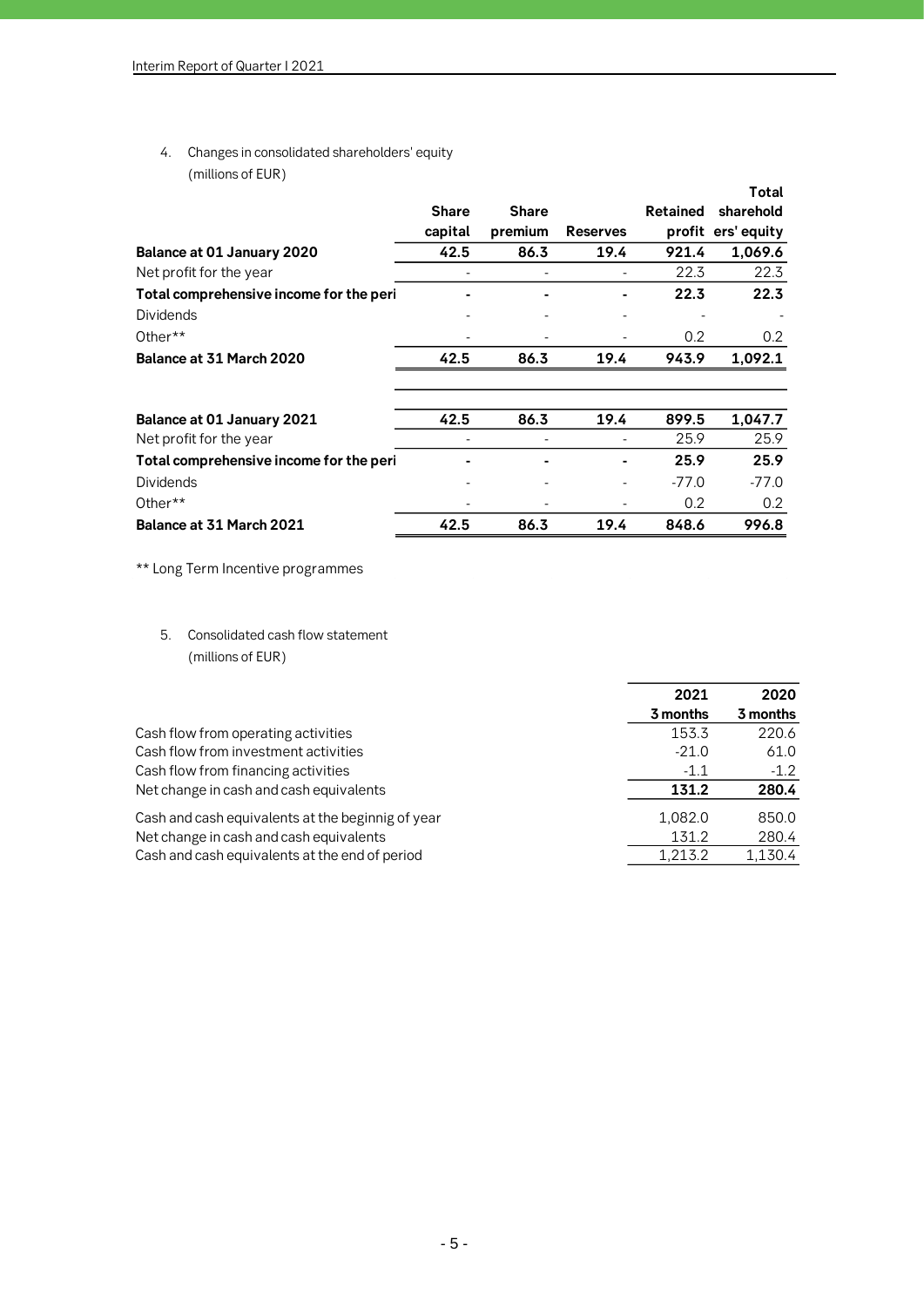**4. Changes in consolidated shareholders' equity (millions of EUR)**

|                                         | <b>Share</b><br>capital | <b>Share</b><br>premium | <b>Reserves</b> | <b>Retained</b> | Total<br>sharehold<br>profit ers' equity |
|-----------------------------------------|-------------------------|-------------------------|-----------------|-----------------|------------------------------------------|
| Balance at 01 January 2020              | 42.5                    | 86.3                    | 19.4            | 921.4           | 1,069.6                                  |
| Net profit for the year                 |                         |                         |                 | 22.3            | 22.3                                     |
| Total comprehensive income for the peri |                         |                         |                 | 22.3            | 22.3                                     |
| <b>Dividends</b>                        |                         |                         |                 |                 |                                          |
| Other $**$                              |                         |                         |                 | 0.2             | 0.2                                      |
| Balance at 31 March 2020                | 42.5                    | 86.3                    | 19.4            | 943.9           | 1,092.1                                  |
| Balance at 01 January 2021              | 42.5                    | 86.3                    | 19.4            | 899.5           | 1,047.7                                  |
| Net profit for the year                 |                         |                         |                 | 25.9            | 25.9                                     |
| Total comprehensive income for the peri |                         |                         |                 | 25.9            | 25.9                                     |
| <b>Dividends</b>                        |                         |                         |                 | $-77.0$         | $-77.0$                                  |
| Other**                                 |                         |                         |                 | 0.2             | 0.2                                      |
| Balance at 31 March 2021                | 42.5                    | 86.3                    | 19.4            | 848.6           | 996.8                                    |

**\*\* Long Term Incentive programmes**

**5. Consolidated cash flow statement (millions of EUR)**

|                                                   | 2021     | 2020     |
|---------------------------------------------------|----------|----------|
|                                                   | 3 months | 3 months |
| Cash flow from operating activities               | 153.3    | 220.6    |
| Cash flow from investment activities              | $-21.0$  | 61.0     |
| Cash flow from financing activities               | $-1.1$   | $-1.2$   |
| Net change in cash and cash equivalents           | 131.2    | 280.4    |
| Cash and cash equivalents at the beginnig of year | 1,082.0  | 850.0    |
| Net change in cash and cash equivalents           | 131.2    | 280.4    |
| Cash and cash equivalents at the end of period    | 1.213.2  | 1,130.4  |
|                                                   |          |          |